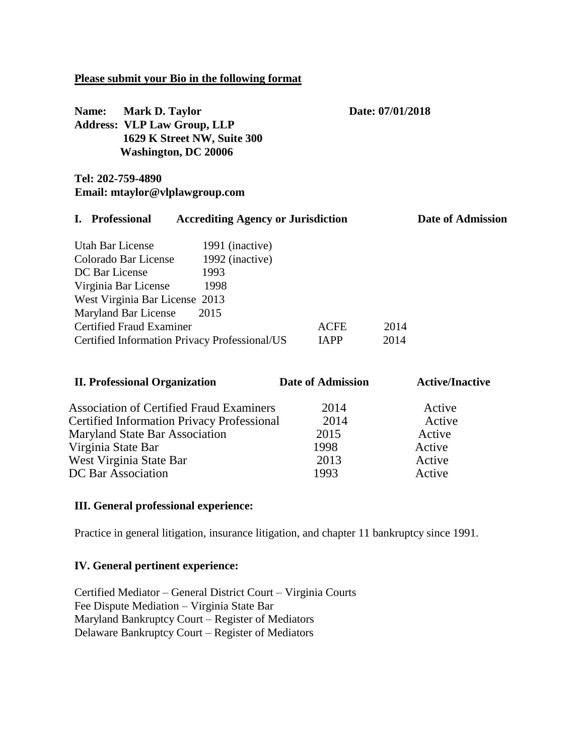### **Please submit your Bio in the following format**

| Name:<br>Mark D. Taylor<br><b>Address: VLP Law Group, LLP</b><br>1629 K Street NW, Suite 300<br><b>Washington, DC 20006</b>                                                                                                                                                                    |                            | Date: 07/01/2018 |                          |  |
|------------------------------------------------------------------------------------------------------------------------------------------------------------------------------------------------------------------------------------------------------------------------------------------------|----------------------------|------------------|--------------------------|--|
| Tel: 202-759-4890<br>Email: mtaylor@vlplawgroup.com                                                                                                                                                                                                                                            |                            |                  |                          |  |
| <b>Professional</b><br><b>Accrediting Agency or Jurisdiction</b><br>I.                                                                                                                                                                                                                         |                            |                  | <b>Date of Admission</b> |  |
| Utah Bar License<br>1991 (inactive)<br>Colorado Bar License<br>1992 (inactive)<br>DC Bar License<br>1993<br>Virginia Bar License<br>1998<br>West Virginia Bar License 2013<br>Maryland Bar License<br>2015<br><b>Certified Fraud Examiner</b><br>Certified Information Privacy Professional/US | <b>ACFE</b><br><b>IAPP</b> | 2014<br>2014     |                          |  |
| <b>II. Professional Organization</b>                                                                                                                                                                                                                                                           | <b>Date of Admission</b>   |                  | <b>Active/Inactive</b>   |  |
| <b>Association of Certified Fraud Examiners</b><br><b>Certified Information Privacy Professional</b>                                                                                                                                                                                           | 2014<br>2014               |                  | Active<br>Active         |  |

Maryland State Bar Association 2015 Active Virginia State Bar 1998 Active West Virginia State Bar 2013 Active DC Bar Association 1993 Active

#### **III. General professional experience:**

Practice in general litigation, insurance litigation, and chapter 11 bankruptcy since 1991.

### **IV. General pertinent experience:**

Certified Mediator – General District Court – Virginia Courts Fee Dispute Mediation – Virginia State Bar Maryland Bankruptcy Court – Register of Mediators Delaware Bankruptcy Court – Register of Mediators